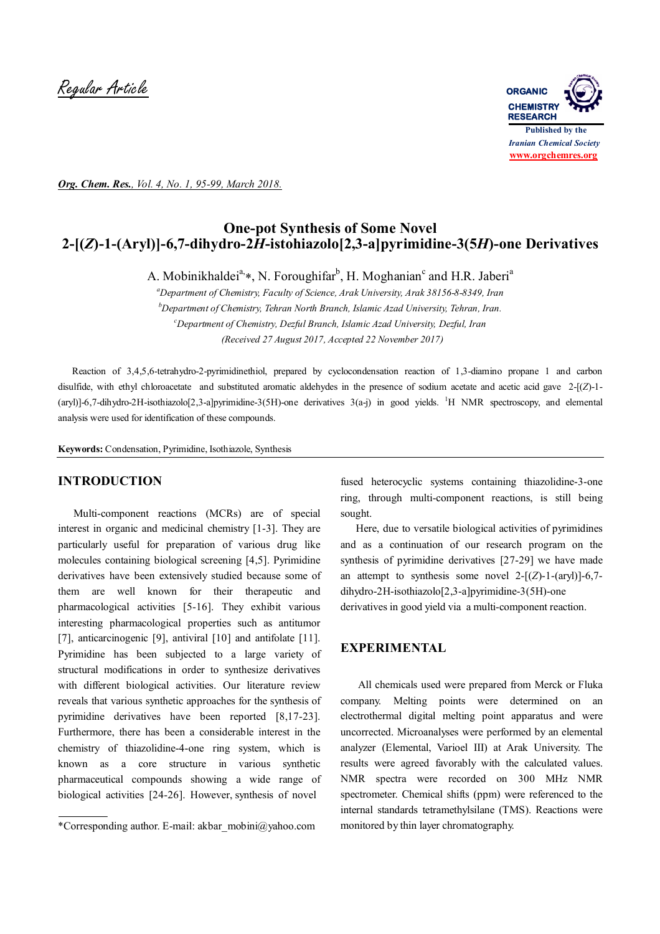Regular Article **ORGANIC**



*Org. Chem. Res., Vol. 4, No. 1, 95-99, March 2018.*

# **One-pot Synthesis of Some Novel 2-[(***Z***)-1-(Aryl)]-6,7-dihydro-2***H***-istohiazolo[2,3-a]pyrimidine-3(5***H***)-one Derivatives**

A. Mobinikhaldei<sup>a,</sup>\*, N. Foroughifar<sup>b</sup>, H. Moghanian<sup>c</sup> and H.R. Jaberi<sup>a</sup>

*<sup>a</sup>Department of Chemistry, Faculty of Science, Arak University, Arak 38156-8-8349, Iran <sup>b</sup>Department of Chemistry, Tehran North Branch, Islamic Azad University, Tehran, Iran. <sup>c</sup>Department of Chemistry, Dezful Branch, Islamic Azad University, Dezful, Iran (Received 27 August 2017, Accepted 22 November 2017)*

 Reaction of 3,4,5,6-tetrahydro-2-pyrimidinethiol, prepared by cyclocondensation reaction of 1,3-diamino propane 1 and carbon disulfide, with ethyl chloroacetate and substituted aromatic aldehydes in the presence of sodium acetate and acetic acid gave 2-[(*Z*)-1- (aryl)]-6,7-dihydro-2H-isothiazolo[2,3-a]pyrimidine-3(5H)-one derivatives  $3(a-j)$  in good yields. <sup>1</sup>H NMR spectroscopy, and elemental analysis were used for identification of these compounds.

**Keywords:** Condensation, Pyrimidine, Isothiazole, Synthesis

## **INTRODUCTION**

 Multi-component reactions (MCRs) are of special interest in organic and medicinal chemistry [1-3]. They are particularly useful for preparation of various drug like molecules containing biological screening [4,5]. Pyrimidine derivatives have been extensively studied because some of them are well known for their therapeutic and pharmacological activities [5-16]. They exhibit various interesting pharmacological properties such as antitumor [7], anticarcinogenic [9], antiviral [10] and antifolate [11]. Pyrimidine has been subjected to a large variety of structural modifications in order to synthesize derivatives with different biological activities. Our literature review reveals that various synthetic approaches for the synthesis of pyrimidine derivatives have been reported [8,17-23]. Furthermore, there has been a considerable interest in the chemistry of thiazolidine-4-one ring system, which is known as a core structure in various synthetic pharmaceutical compounds showing a wide range of biological activities [24-26]. However, synthesis of novel

fused heterocyclic systems containing thiazolidine-3-one ring, through multi-component reactions, is still being sought.

 Here, due to versatile biological activities of pyrimidines and as a continuation of our research program on the synthesis of pyrimidine derivatives [27-29] we have made an attempt to synthesis some novel  $2-[Z]-1-(ary])]-6,7$ dihydro-2H-isothiazolo[2,3-a]pyrimidine-3(5H)-one derivatives in good yield via a multi-component reaction.

## **EXPERIMENTAL**

 All chemicals used were prepared from Merck or Fluka company. Melting points were determined on an electrothermal digital melting point apparatus and were uncorrected. Microanalyses were performed by an elemental analyzer (Elemental, Varioel III) at Arak University. The results were agreed favorably with the calculated values. NMR spectra were recorded on 300 MHz NMR spectrometer. Chemical shifts (ppm) were referenced to the internal standards tetramethylsilane (TMS). Reactions were monitored by thin layer chromatography.

<sup>\*</sup>Corresponding author. E-mail: akbar\_mobini@yahoo.com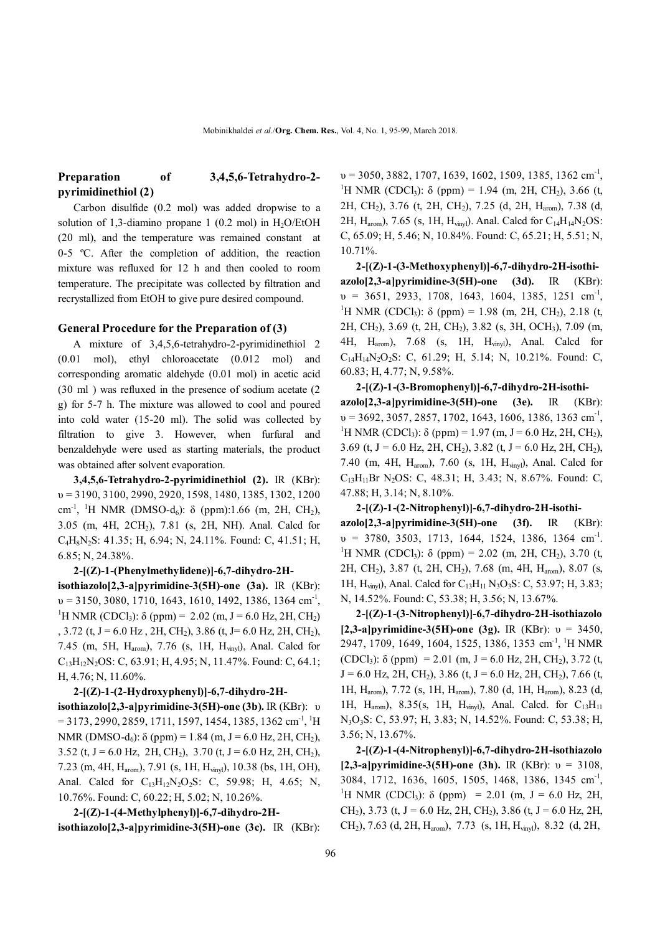## **Preparation of 3,4,5,6-Tetrahydro-2 pyrimidinethiol (2)**

 Carbon disulfide (0.2 mol) was added dropwise to a solution of 1,3-diamino propane 1 (0.2 mol) in  $H<sub>2</sub>O/EtOH$ (20 ml), and the temperature was remained constant at 0-5 ºC. After the completion of addition, the reaction mixture was refluxed for 12 h and then cooled to room temperature. The precipitate was collected by filtration and recrystallized from EtOH to give pure desired compound.

#### **General Procedure for the Preparation of (3)**

 A mixture of 3,4,5,6-tetrahydro-2-pyrimidinethiol 2 (0.01 mol), ethyl chloroacetate (0.012 mol) and corresponding aromatic aldehyde (0.01 mol) in acetic acid (30 ml ) was refluxed in the presence of sodium acetate (2 g) for 5-7 h. The mixture was allowed to cool and poured into cold water (15-20 ml). The solid was collected by filtration to give 3. However, when furfural and benzaldehyde were used as starting materials, the product was obtained after solvent evaporation.

 **3,4,5,6-Tetrahydro-2-pyrimidinethiol (2).** IR (KBr): υ = 3190, 3100, 2990, 2920, 1598, 1480, 1385, 1302, 1200  $cm<sup>-1</sup>$ , <sup>1</sup>H NMR (DMSO-d<sub>6</sub>): δ (ppm):1.66 (m, 2H, CH<sub>2</sub>), 3.05 (m, 4H, 2CH2), 7.81 (s, 2H, NH). Anal. Calcd for C4H8N2S: 41.35; H, 6.94; N, 24.11%. Found: C, 41.51; H, 6.85; N, 24.38%.

**2-[(Z)-1-(Phenylmethylidene)]-6,7-dihydro-2Hisothiazolo[2,3-a]pyrimidine-3(5H)-one (3a).** IR (KBr):  $v = 3150, 3080, 1710, 1643, 1610, 1492, 1386, 1364$  cm<sup>-1</sup>, <sup>1</sup>H NMR (CDCl<sub>3</sub>):  $\delta$  (ppm) = 2.02 (m, J = 6.0 Hz, 2H, CH<sub>2</sub>) , 3.72 (t, J = 6.0 Hz, 2H, CH<sub>2</sub>), 3.86 (t, J = 6.0 Hz, 2H, CH<sub>2</sub>), 7.45 (m, 5H, Harom), 7.76 (s, 1H, Hvinyl), Anal. Calcd for C13H12N2OS: C, 63.91; H, 4.95; N, 11.47%. Found: C, 64.1; H, 4.76; N, 11.60%.

 **2-[(Z)-1-(2-Hydroxyphenyl)]-6,7-dihydro-2Hisothiazolo[2,3-a]pyrimidine-3(5H)-one (3b).** IR (KBr): υ  $= 3173, 2990, 2859, 1711, 1597, 1454, 1385, 1362$  cm<sup>-1</sup>, <sup>1</sup>H NMR (DMSO-d<sub>6</sub>):  $\delta$  (ppm) = 1.84 (m, J = 6.0 Hz, 2H, CH<sub>2</sub>), 3.52 (t, J = 6.0 Hz, 2H, CH<sub>2</sub>), 3.70 (t, J = 6.0 Hz, 2H, CH<sub>2</sub>), 7.23 (m, 4H, Harom), 7.91 (s, 1H, Hvinyl), 10.38 (bs, 1H, OH), Anal. Calcd for C<sub>13</sub>H<sub>12</sub>N<sub>2</sub>O<sub>2</sub>S: C, 59.98; H, 4.65; N, 10.76%. Found: C, 60.22; H, 5.02; N, 10.26%.

 **2-[(Z)-1-(4-Methylphenyl)]-6,7-dihydro-2Hisothiazolo[2,3-a]pyrimidine-3(5H)-one (3c).** IR (KBr):

 $v = 3050, 3882, 1707, 1639, 1602, 1509, 1385, 1362$  cm<sup>-1</sup>, <sup>1</sup>H NMR (CDCl<sub>3</sub>):  $\delta$  (ppm) = 1.94 (m, 2H, CH<sub>2</sub>), 3.66 (t, 2H, CH2), 3.76 (t, 2H, CH2), 7.25 (d, 2H, Harom), 7.38 (d, 2H,  $H_{arom}$ ), 7.65 (s, 1H,  $H_{viryl}$ ). Anal. Calcd for  $C_{14}H_{14}N_2OS$ : C, 65.09; H, 5.46; N, 10.84%. Found: C, 65.21; H, 5.51; N, 10.71%.

 **2-[(Z)-1-(3-Methoxyphenyl)]-6,7-dihydro-2H-isothiazolo[2,3-a]pyrimidine-3(5H)-one (3d).** IR (KBr):  $v = 3651, 2933, 1708, 1643, 1604, 1385, 1251$  cm<sup>-1</sup>, <sup>1</sup>H NMR (CDCl<sub>3</sub>): δ (ppm) = 1.98 (m, 2H, CH<sub>2</sub>), 2.18 (t, 2H, CH2), 3.69 (t, 2H, CH2), 3.82 (s, 3H, OCH3), 7.09 (m, 4H, Harom), 7.68 (s, 1H, Hvinyl), Anal. Calcd for C14H14N2O2S: C, 61.29; H, 5.14; N, 10.21%. Found: C, 60.83; H, 4.77; N, 9.58%.

**2-[(Z)-1-(3-Bromophenyl)]-6,7-dihydro-2H-isothiazolo[2,3-a]pyrimidine-3(5H)-one (3e).** IR (KBr):  $v = 3692, 3057, 2857, 1702, 1643, 1606, 1386, 1363$  cm<sup>-1</sup>, <sup>1</sup>H NMR (CDCl<sub>3</sub>):  $\delta$  (ppm) = 1.97 (m, J = 6.0 Hz, 2H, CH<sub>2</sub>), 3.69 (t, J = 6.0 Hz, 2H, CH<sub>2</sub>), 3.82 (t, J = 6.0 Hz, 2H, CH<sub>2</sub>), 7.40 (m, 4H, Harom), 7.60 (s, 1H, Hvinyl), Anal. Calcd for  $C_{13}H_{11}Br$  N<sub>2</sub>OS: C, 48.31; H, 3.43; N, 8.67%. Found: C, 47.88; H, 3.14; N, 8.10%.

**2-[(Z)-1-(2-Nitrophenyl)]-6,7-dihydro-2H-isothiazolo[2,3-a]pyrimidine-3(5H)-one (3f).** IR (KBr):  $v = 3780, 3503, 1713, 1644, 1524, 1386, 1364$  cm<sup>-1</sup>. <sup>1</sup>H NMR (CDCl<sub>3</sub>): δ (ppm) = 2.02 (m, 2H, CH<sub>2</sub>), 3.70 (t, 2H, CH2), 3.87 (t, 2H, CH2), 7.68 (m, 4H, Harom), 8.07 (s, 1H,  $H_{\text{viryl}}$ ), Anal. Calcd for  $C_{13}H_{11}N_3O_3S$ : C, 53.97; H, 3.83; N, 14.52%. Found: C, 53.38; H, 3.56; N, 13.67%.

**2-[(Z)-1-(3-Nitrophenyl)]-6,7-dihydro-2H-isothiazolo [2,3-a]pyrimidine-3(5H)-one (3g).** IR (KBr): υ = 3450, 2947, 1709, 1649, 1604, 1525, 1386, 1353 cm<sup>-1</sup>, <sup>1</sup>H NMR (CDCl<sub>3</sub>):  $\delta$  (ppm) = 2.01 (m, J = 6.0 Hz, 2H, CH<sub>2</sub>), 3.72 (t,  $J = 6.0$  Hz, 2H, CH<sub>2</sub>), 3.86 (t,  $J = 6.0$  Hz, 2H, CH<sub>2</sub>), 7.66 (t, 1H, Harom), 7.72 (s, 1H, Harom), 7.80 (d, 1H, Harom), 8.23 (d, 1H,  $H_{arom}$ ), 8.35(s, 1H,  $H_{vinv}$ ), Anal. Calcd. for  $C_{13}H_{11}$ N3O3S: C, 53.97; H, 3.83; N, 14.52%. Found: C, 53.38; H, 3.56; N, 13.67%.

 **2-[(Z)-1-(4-Nitrophenyl)]-6,7-dihydro-2H-isothiazolo [2,3-a]pyrimidine-3(5H)-one (3h).** IR (KBr): υ = 3108, 3084, 1712, 1636, 1605, 1505, 1468, 1386, 1345 cm<sup>-1</sup>, <sup>1</sup>H NMR (CDCl<sub>3</sub>):  $\delta$  (ppm) = 2.01 (m, J = 6.0 Hz, 2H, CH<sub>2</sub>), 3.73 (t, J = 6.0 Hz, 2H, CH<sub>2</sub>), 3.86 (t, J = 6.0 Hz, 2H, CH2), 7.63 (d, 2H, Harom), 7.73 (s, 1H, Hvinyl), 8.32 (d, 2H,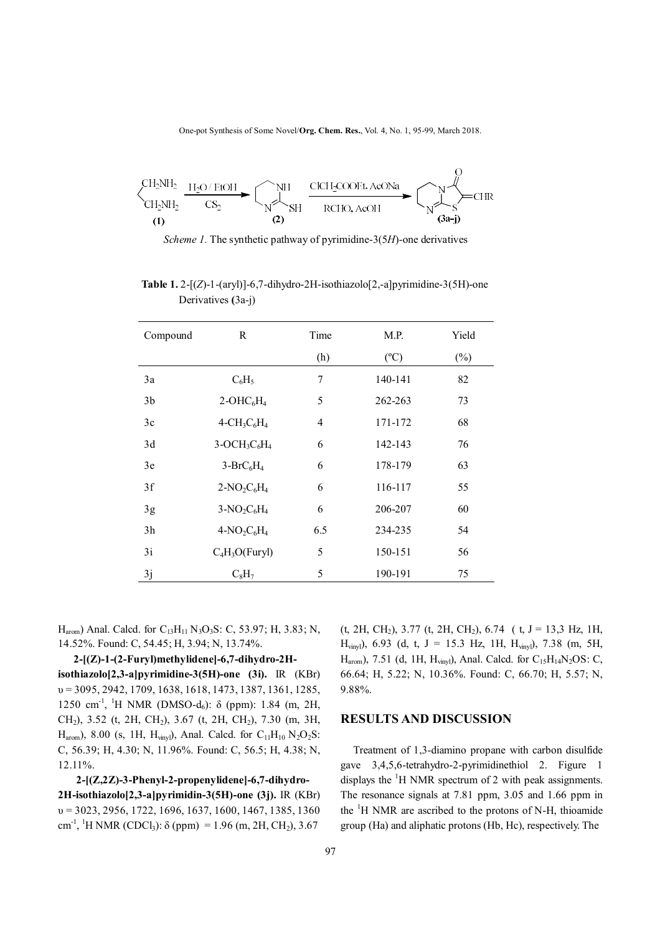One-pot Synthesis of Some Novel/**Org. Chem. Res.**, Vol. 4, No. 1, 95-99, March 2018.



*Scheme 1.* The synthetic pathway of pyrimidine-3(5*H*)-one derivatives

| <b>Table 1.</b> 2- $[(Z)-1-(ary)]-6$ ,7-dihydro-2H-isothiazolo $[2,-a]$ pyrimidine-3(5H)-one |
|----------------------------------------------------------------------------------------------|
| Derivatives (3a-j)                                                                           |
|                                                                                              |

| Compound | R                | Time | M.P.          | Yield  |
|----------|------------------|------|---------------|--------|
|          |                  | (h)  | $(^{\circ}C)$ | $(\%)$ |
| 3a       | $C_6H_5$         | 7    | 140-141       | 82     |
| 3b       | $2-OHC6H4$       | 5    | 262-263       | 73     |
| 3c       | $4-CH_3C_6H_4$   | 4    | 171-172       | 68     |
| 3d       | $3-OCH3C6H4$     | 6    | 142-143       | 76     |
| 3e       | $3-BrC6H4$       | 6    | 178-179       | 63     |
| 3f       | $2-NO_2C_6H_4$   | 6    | 116-117       | 55     |
| 3g       | $3-NO2C6H4$      | 6    | 206-207       | 60     |
| 3h       | $4-NO2C6H4$      | 6.5  | 234-235       | 54     |
| 3i       | $C_4H_3O(Furyl)$ | 5    | 150-151       | 56     |
| 3j       | $C_8H_7$         | 5    | 190-191       | 75     |

 $H_{arom}$ ) Anal. Calcd. for  $C_{13}H_{11}N_3O_3S$ : C, 53.97; H, 3.83; N, 14.52%. Found: C, 54.45; H, 3.94; N, 13.74%.

 **2-[(Z)-1-(2-Furyl)methylidene]-6,7-dihydro-2Hisothiazolo[2,3-a]pyrimidine-3(5H)-one (3i).** IR (KBr)  $v = 3095, 2942, 1709, 1638, 1618, 1473, 1387, 1361, 1285,$ 1250 cm<sup>-1</sup>, <sup>1</sup>H NMR (DMSO-d<sub>6</sub>): δ (ppm): 1.84 (m, 2H, CH2), 3.52 (t, 2H, CH2), 3.67 (t, 2H, CH2), 7.30 (m, 3H,  $H_{arom}$ ), 8.00 (s, 1H,  $H_{viny}$ ), Anal. Calcd. for  $C_{11}H_{10}N_2O_2S$ : C, 56.39; H, 4.30; N, 11.96%. Found: C, 56.5; H, 4.38; N, 12.11%.

 **2-[(Z,2Z)-3-Phenyl-2-propenylidene]-6,7-dihydro-2H-isothiazolo[2,3-a]pyrimidin-3(5H)-one (3j).** IR (KBr) υ = 3023, 2956, 1722, 1696, 1637, 1600, 1467, 1385, 1360 cm<sup>-1</sup>, <sup>1</sup>H NMR (CDCl<sub>3</sub>):  $\delta$  (ppm) = 1.96 (m, 2H, CH<sub>2</sub>), 3.67  $(t, 2H, CH<sub>2</sub>), 3.77$   $(t, 2H, CH<sub>2</sub>), 6.74$   $(t, J = 13,3 Hz, 1H,$ H<sub>vinyl</sub>), 6.93 (d, t, J = 15.3 Hz, 1H, H<sub>vinyl</sub>), 7.38 (m, 5H, H<sub>arom</sub>), 7.51 (d, 1H, H<sub>vinyl</sub>), Anal. Calcd. for C<sub>15</sub>H<sub>14</sub>N<sub>2</sub>OS: C, 66.64; H, 5.22; N, 10.36%. Found: C, 66.70; H, 5.57; N, 9.88%.

#### **RESULTS AND DISCUSSION**

 Treatment of 1,3-diamino propane with carbon disulfide gave 3,4,5,6-tetrahydro-2-pyrimidinethiol 2. Figure 1 displays the  ${}^{1}$ H NMR spectrum of 2 with peak assignments. The resonance signals at 7.81 ppm, 3.05 and 1.66 ppm in the  ${}^{1}H$  NMR are ascribed to the protons of N-H, thioamide group (Ha) and aliphatic protons (Hb, Hc), respectively. The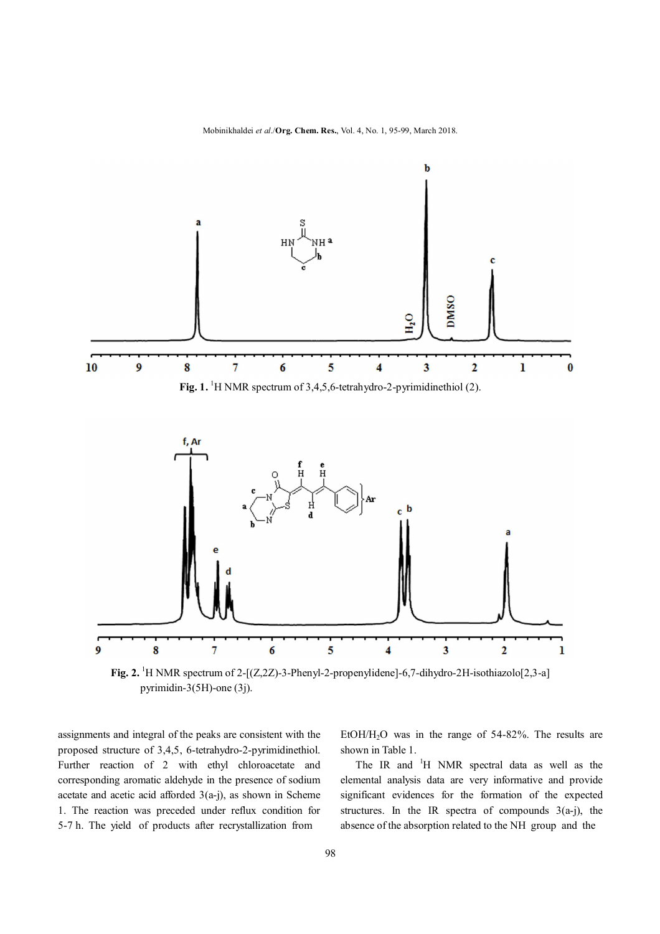Mobinikhaldei *et al*./**Org. Chem. Res.**, Vol. 4, No. 1, 95-99, March 2018.



**Fig. 2.** <sup>1</sup>H NMR spectrum of 2-[(Z,2Z)-3-Phenyl-2-propenylidene]-6,7-dihydro-2H-isothiazolo[2,3-a] pyrimidin-3(5H)-one (3j).

assignments and integral of the peaks are consistent with the proposed structure of 3,4,5, 6-tetrahydro-2-pyrimidinethiol. Further reaction of 2 with ethyl chloroacetate and corresponding aromatic aldehyde in the presence of sodium acetate and acetic acid afforded  $3(a-i)$ , as shown in Scheme 1. The reaction was preceded under reflux condition for 5-7 h. The yield of products after recrystallization from

EtOH $/H<sub>2</sub>$ O was in the range of 54-82%. The results are shown in Table 1.

The IR and <sup>1</sup>H NMR spectral data as well as the elemental analysis data are very informative and provide significant evidences for the formation of the expected structures. In the IR spectra of compounds  $3(a-j)$ , the absence of the absorption related to the NH group and the